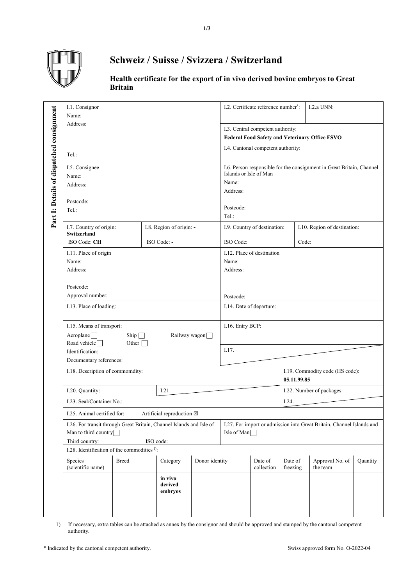

## **Schweiz / Suisse / Svizzera / Switzerland**

## **Health certificate for the export of in vivo derived bovine embryos to Great Britain**

|                                           | I.1. Consignor<br>Name:                                                                                                     |                                                                                                  |                               |                                                                                             | I.2. Certificate reference number*:                                                                                              |                              | I.2.a UNN:                  |                              |  |
|-------------------------------------------|-----------------------------------------------------------------------------------------------------------------------------|--------------------------------------------------------------------------------------------------|-------------------------------|---------------------------------------------------------------------------------------------|----------------------------------------------------------------------------------------------------------------------------------|------------------------------|-----------------------------|------------------------------|--|
|                                           | Address:<br>Tel.:                                                                                                           |                                                                                                  |                               |                                                                                             | I.3. Central competent authority:<br><b>Federal Food Safety and Veterinary Office FSVO</b><br>I.4. Cantonal competent authority: |                              |                             |                              |  |
|                                           |                                                                                                                             |                                                                                                  |                               |                                                                                             |                                                                                                                                  |                              |                             |                              |  |
| Part I: Details of dispatched consignment | I.5. Consignee<br>Name:<br>Address:                                                                                         |                                                                                                  |                               |                                                                                             | I.6. Person responsible for the consignment in Great Britain, Channel<br>Islands or Isle of Man<br>Name:<br>Address:             |                              |                             |                              |  |
|                                           | Postcode:<br>Tel.:                                                                                                          |                                                                                                  |                               |                                                                                             | Postcode:<br>Tel.:                                                                                                               |                              |                             |                              |  |
|                                           | I.7. Country of origin:<br><b>Switzerland</b>                                                                               |                                                                                                  | I.8. Region of origin: -      |                                                                                             |                                                                                                                                  | I.9. Country of destination: |                             | I.10. Region of destination: |  |
|                                           | ISO Code: CH                                                                                                                |                                                                                                  | ISO Code: -                   |                                                                                             | ISO Code:                                                                                                                        | Code:                        |                             |                              |  |
|                                           | I.11. Place of origin<br>Name:<br>Address:                                                                                  |                                                                                                  |                               | I.12. Place of destination<br>Name:<br>Address:                                             |                                                                                                                                  |                              |                             |                              |  |
|                                           | Postcode:<br>Approval number:                                                                                               |                                                                                                  |                               |                                                                                             | Postcode:                                                                                                                        |                              |                             |                              |  |
|                                           | I.13. Place of loading:                                                                                                     |                                                                                                  |                               |                                                                                             | I.14. Date of departure:                                                                                                         |                              |                             |                              |  |
|                                           |                                                                                                                             | I.15. Means of transport:<br>$A$ eroplane $\Box$<br>Ship $\Box$<br>Railway wagon<br>Other $\Box$ |                               |                                                                                             | I.16. Entry BCP:                                                                                                                 |                              |                             |                              |  |
|                                           | Road vehicle                                                                                                                |                                                                                                  |                               |                                                                                             |                                                                                                                                  |                              |                             |                              |  |
|                                           | Identification:<br>Documentary references:                                                                                  |                                                                                                  |                               |                                                                                             | I.17.                                                                                                                            |                              |                             |                              |  |
|                                           |                                                                                                                             | I.18. Description of commondity:                                                                 |                               |                                                                                             | I.19. Commodity code (HS code):<br>05.11.99.85                                                                                   |                              |                             |                              |  |
|                                           | I.20. Quantity:                                                                                                             |                                                                                                  | I.21.                         |                                                                                             | I.22. Number of packages:                                                                                                        |                              |                             |                              |  |
|                                           |                                                                                                                             | I.23. Seal/Container No.:                                                                        |                               |                                                                                             | I.24.                                                                                                                            |                              |                             |                              |  |
|                                           | Artificial reproduction ⊠<br>I.25. Animal certified for:                                                                    |                                                                                                  |                               |                                                                                             |                                                                                                                                  |                              |                             |                              |  |
|                                           | I.26. For transit through Great Britain, Channel Islands and Isle of<br>Man to third country<br>Third country:<br>ISO code: |                                                                                                  |                               | I.27. For import or admission into Great Britain, Channel Islands and<br>Isle of Man $\Box$ |                                                                                                                                  |                              |                             |                              |  |
|                                           | I.28. Identification of the commodities <sup>1)</sup> :                                                                     |                                                                                                  |                               |                                                                                             |                                                                                                                                  |                              |                             |                              |  |
|                                           | Species<br>(scientific name)                                                                                                | <b>Breed</b><br>Category<br>Donor identity                                                       |                               |                                                                                             | Date of<br>collection                                                                                                            | Date of<br>freezing          | Approval No. of<br>the team | Quantity                     |  |
|                                           |                                                                                                                             |                                                                                                  | in vivo<br>derived<br>embryos |                                                                                             |                                                                                                                                  |                              |                             |                              |  |
|                                           |                                                                                                                             |                                                                                                  |                               |                                                                                             |                                                                                                                                  |                              |                             |                              |  |

1) If necessary, extra tables can be attached as annex by the consignor and should be approved and stamped by the cantonal competent authority.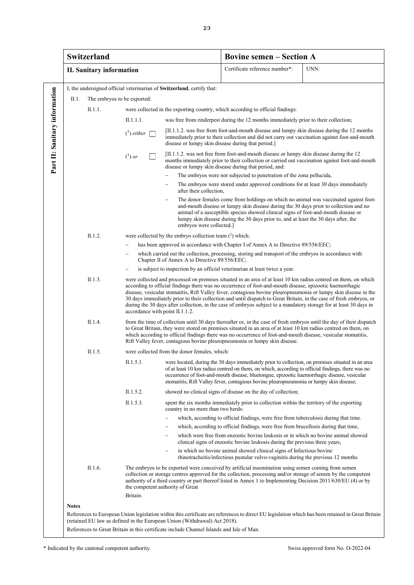|                                                                                                                                                                                                                                                | Switzerland                                                            |                                 |                                                                                                                                                                                                                                                                                                                                                                                                                                                                                                                                                                                                                                 |                                                                                                                                                                                                                                                       | <b>Bovine semen - Section A</b>                                                                                                                                                                                                                                                                                                                                                                 |      |  |  |  |
|------------------------------------------------------------------------------------------------------------------------------------------------------------------------------------------------------------------------------------------------|------------------------------------------------------------------------|---------------------------------|---------------------------------------------------------------------------------------------------------------------------------------------------------------------------------------------------------------------------------------------------------------------------------------------------------------------------------------------------------------------------------------------------------------------------------------------------------------------------------------------------------------------------------------------------------------------------------------------------------------------------------|-------------------------------------------------------------------------------------------------------------------------------------------------------------------------------------------------------------------------------------------------------|-------------------------------------------------------------------------------------------------------------------------------------------------------------------------------------------------------------------------------------------------------------------------------------------------------------------------------------------------------------------------------------------------|------|--|--|--|
|                                                                                                                                                                                                                                                |                                                                        | <b>II. Sanitary information</b> |                                                                                                                                                                                                                                                                                                                                                                                                                                                                                                                                                                                                                                 |                                                                                                                                                                                                                                                       | Certificate reference number*:                                                                                                                                                                                                                                                                                                                                                                  | UNN: |  |  |  |
|                                                                                                                                                                                                                                                | I, the undersigned official veterinarian of Switzerland, certify that: |                                 |                                                                                                                                                                                                                                                                                                                                                                                                                                                                                                                                                                                                                                 |                                                                                                                                                                                                                                                       |                                                                                                                                                                                                                                                                                                                                                                                                 |      |  |  |  |
| Part II: Sanitary information                                                                                                                                                                                                                  | The embryos to be exported:<br>II.1.                                   |                                 |                                                                                                                                                                                                                                                                                                                                                                                                                                                                                                                                                                                                                                 |                                                                                                                                                                                                                                                       |                                                                                                                                                                                                                                                                                                                                                                                                 |      |  |  |  |
|                                                                                                                                                                                                                                                |                                                                        | II.1.1.                         | were collected in the exporting country, which according to official findings:                                                                                                                                                                                                                                                                                                                                                                                                                                                                                                                                                  |                                                                                                                                                                                                                                                       |                                                                                                                                                                                                                                                                                                                                                                                                 |      |  |  |  |
|                                                                                                                                                                                                                                                |                                                                        |                                 | II.1.1.1.<br>was free from rinderpest during the 12 months immediately prior to their collection;                                                                                                                                                                                                                                                                                                                                                                                                                                                                                                                               |                                                                                                                                                                                                                                                       |                                                                                                                                                                                                                                                                                                                                                                                                 |      |  |  |  |
|                                                                                                                                                                                                                                                |                                                                        |                                 | $\binom{1}{1}$ either                                                                                                                                                                                                                                                                                                                                                                                                                                                                                                                                                                                                           | $[II.1.1.2.$ was free from foot-and-mouth disease and lumpy skin disease during the 12 months<br>immediately prior to their collection and did not carry out vaccination against foot-and-mouth<br>disease or lumpy skin disease during that period.] |                                                                                                                                                                                                                                                                                                                                                                                                 |      |  |  |  |
|                                                                                                                                                                                                                                                |                                                                        |                                 | $(^1)$ or                                                                                                                                                                                                                                                                                                                                                                                                                                                                                                                                                                                                                       | $[II.1.1.2]$ was not free from foot-and-mouth disease or lumpy skin disease during the 12<br>months immediately prior to their collection or carried out vaccination against foot-and-mouth<br>disease or lumpy skin disease during that period, and: |                                                                                                                                                                                                                                                                                                                                                                                                 |      |  |  |  |
|                                                                                                                                                                                                                                                |                                                                        |                                 |                                                                                                                                                                                                                                                                                                                                                                                                                                                                                                                                                                                                                                 | The embryos were not subjected to penetration of the zona pellucida,                                                                                                                                                                                  |                                                                                                                                                                                                                                                                                                                                                                                                 |      |  |  |  |
|                                                                                                                                                                                                                                                |                                                                        |                                 |                                                                                                                                                                                                                                                                                                                                                                                                                                                                                                                                                                                                                                 | after their collection.                                                                                                                                                                                                                               | The embryos were stored under approved conditions for at least 30 days immediately                                                                                                                                                                                                                                                                                                              |      |  |  |  |
|                                                                                                                                                                                                                                                |                                                                        |                                 |                                                                                                                                                                                                                                                                                                                                                                                                                                                                                                                                                                                                                                 | embryos were collected.]                                                                                                                                                                                                                              | The donor females come from holdings on which no animal was vaccinated against foot-<br>and-mouth disease or lumpy skin disease during the 30 days prior to collection and no<br>animal of a susceptible species showed clinical signs of foot-and-mouth disease or<br>lumpy skin disease during the 30 days prior to, and at least the 30 days after, the                                      |      |  |  |  |
|                                                                                                                                                                                                                                                |                                                                        | II.1.2.                         |                                                                                                                                                                                                                                                                                                                                                                                                                                                                                                                                                                                                                                 | were collected by the embryo collection team $(^2)$ which:                                                                                                                                                                                            |                                                                                                                                                                                                                                                                                                                                                                                                 |      |  |  |  |
|                                                                                                                                                                                                                                                |                                                                        |                                 | has been approved in accordance with Chapter I of Annex A to Directive 89/556/EEC;                                                                                                                                                                                                                                                                                                                                                                                                                                                                                                                                              |                                                                                                                                                                                                                                                       |                                                                                                                                                                                                                                                                                                                                                                                                 |      |  |  |  |
|                                                                                                                                                                                                                                                |                                                                        |                                 | which carried out the collection, processing, storing and transport of the embryos in accordance with<br>Chapter II of Annex A to Directive 89/556/EEC;                                                                                                                                                                                                                                                                                                                                                                                                                                                                         |                                                                                                                                                                                                                                                       |                                                                                                                                                                                                                                                                                                                                                                                                 |      |  |  |  |
|                                                                                                                                                                                                                                                |                                                                        |                                 | is subject to inspection by an official veterinarian at least twice a year.                                                                                                                                                                                                                                                                                                                                                                                                                                                                                                                                                     |                                                                                                                                                                                                                                                       |                                                                                                                                                                                                                                                                                                                                                                                                 |      |  |  |  |
|                                                                                                                                                                                                                                                |                                                                        | II.1.3.                         | were collected and processed on premises situated in an area of at least 10 km radius centred on them, on which<br>according to official findings there was no occurrence of foot-and-mouth disease, epizootic haemorrhagic<br>disease, vesicular stomatitis, Rift Valley fever, contagious bovine pleuropneumonia or lumpy skin disease in the<br>30 days immediately prior to their collection and until dispatch to Great Britain, in the case of fresh embryos, or<br>during the 30 days after collection, in the case of embryos subject to a mandatory storage for at least 30 days in<br>accordance with point II.1.1.2. |                                                                                                                                                                                                                                                       |                                                                                                                                                                                                                                                                                                                                                                                                 |      |  |  |  |
|                                                                                                                                                                                                                                                |                                                                        | II.1.4.                         | from the time of collection until 30 days thereafter or, in the case of fresh embryos until the day of their dispatch<br>to Great Britain, they were stored on premises situated in an area of at least 10 km radius centred on them, on<br>which according to official findings there was no occurrence of foot-and-mouth disease, vesicular stomatitis,<br>Rift Valley fever, contagious bovine pleuropneumonia or lumpy skin disease.                                                                                                                                                                                        |                                                                                                                                                                                                                                                       |                                                                                                                                                                                                                                                                                                                                                                                                 |      |  |  |  |
|                                                                                                                                                                                                                                                | II.1.5.                                                                |                                 | were collected from the donor females, which:                                                                                                                                                                                                                                                                                                                                                                                                                                                                                                                                                                                   |                                                                                                                                                                                                                                                       |                                                                                                                                                                                                                                                                                                                                                                                                 |      |  |  |  |
|                                                                                                                                                                                                                                                |                                                                        |                                 | II.1.5.1.                                                                                                                                                                                                                                                                                                                                                                                                                                                                                                                                                                                                                       |                                                                                                                                                                                                                                                       | were located, during the 30 days immediately prior to collection, on premises situated in an area<br>of at least 10 km radius centred on them, on which, according to official findings, there was no<br>occurrence of foot-and-mouth disease, bluetongue, epizootic haemorrhagic disease, vesicular<br>stomatitis, Rift Valley fever, contagious bovine pleuropneumonia or lumpy skin disease; |      |  |  |  |
|                                                                                                                                                                                                                                                |                                                                        |                                 | II.1.5.2.                                                                                                                                                                                                                                                                                                                                                                                                                                                                                                                                                                                                                       |                                                                                                                                                                                                                                                       | showed no clinical signs of disease on the day of collection;                                                                                                                                                                                                                                                                                                                                   |      |  |  |  |
|                                                                                                                                                                                                                                                |                                                                        |                                 | II.1.5.3.                                                                                                                                                                                                                                                                                                                                                                                                                                                                                                                                                                                                                       | country in no more than two herds:                                                                                                                                                                                                                    | spent the six months immediately prior to collection within the territory of the exporting                                                                                                                                                                                                                                                                                                      |      |  |  |  |
|                                                                                                                                                                                                                                                |                                                                        |                                 |                                                                                                                                                                                                                                                                                                                                                                                                                                                                                                                                                                                                                                 |                                                                                                                                                                                                                                                       | which, according to official findings, were free from tuberculosis during that time.                                                                                                                                                                                                                                                                                                            |      |  |  |  |
|                                                                                                                                                                                                                                                |                                                                        |                                 |                                                                                                                                                                                                                                                                                                                                                                                                                                                                                                                                                                                                                                 |                                                                                                                                                                                                                                                       | which, according to official findings, were free from brucellosis during that time,                                                                                                                                                                                                                                                                                                             |      |  |  |  |
|                                                                                                                                                                                                                                                |                                                                        |                                 |                                                                                                                                                                                                                                                                                                                                                                                                                                                                                                                                                                                                                                 |                                                                                                                                                                                                                                                       | which were free from enzootic bovine leukosis or in which no bovine animal showed<br>clinical signs of enzootic bovine leukosis during the previous three years,                                                                                                                                                                                                                                |      |  |  |  |
|                                                                                                                                                                                                                                                |                                                                        |                                 |                                                                                                                                                                                                                                                                                                                                                                                                                                                                                                                                                                                                                                 |                                                                                                                                                                                                                                                       | in which no bovine animal showed clinical signs of Infectious bovine<br>rhinotracheitis/infectious pustular vulvo-vaginitis during the previous 12 months.                                                                                                                                                                                                                                      |      |  |  |  |
|                                                                                                                                                                                                                                                |                                                                        | II.1.6.                         | The embryos to be exported were conceived by artificial insemination using semen coming from semen<br>collection or storage centres approved for the collection, processing and/or storage of semen by the competent<br>authority of a third country or part thereof listed in Annex 1 to Implementing Decision 2011/630/EU (4) or by<br>the competent authority of Great<br>Britain.                                                                                                                                                                                                                                           |                                                                                                                                                                                                                                                       |                                                                                                                                                                                                                                                                                                                                                                                                 |      |  |  |  |
|                                                                                                                                                                                                                                                |                                                                        |                                 |                                                                                                                                                                                                                                                                                                                                                                                                                                                                                                                                                                                                                                 |                                                                                                                                                                                                                                                       |                                                                                                                                                                                                                                                                                                                                                                                                 |      |  |  |  |
| <b>Notes</b><br>References to European Union legislation within this certificate are references to direct EU legislation which has been retained in Great Britain<br>(retained EU law as defined in the European Union (Withdrawal) Act 2018). |                                                                        |                                 |                                                                                                                                                                                                                                                                                                                                                                                                                                                                                                                                                                                                                                 |                                                                                                                                                                                                                                                       |                                                                                                                                                                                                                                                                                                                                                                                                 |      |  |  |  |
|                                                                                                                                                                                                                                                |                                                                        |                                 |                                                                                                                                                                                                                                                                                                                                                                                                                                                                                                                                                                                                                                 | References to Great Britain in this certificate include Channel Islands and Isle of Man.                                                                                                                                                              |                                                                                                                                                                                                                                                                                                                                                                                                 |      |  |  |  |